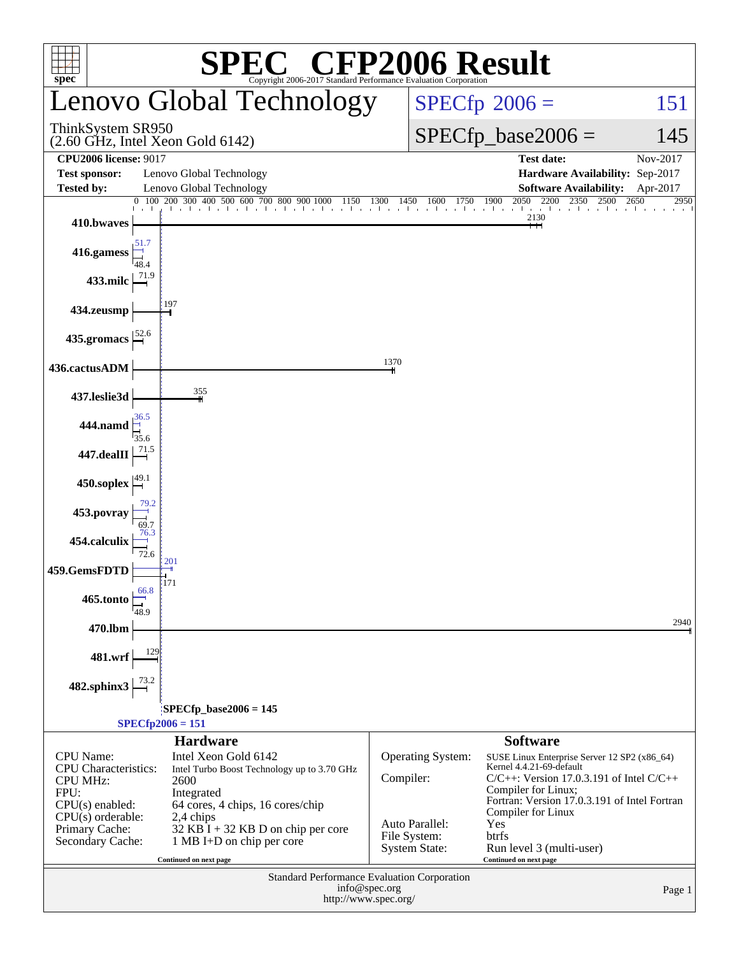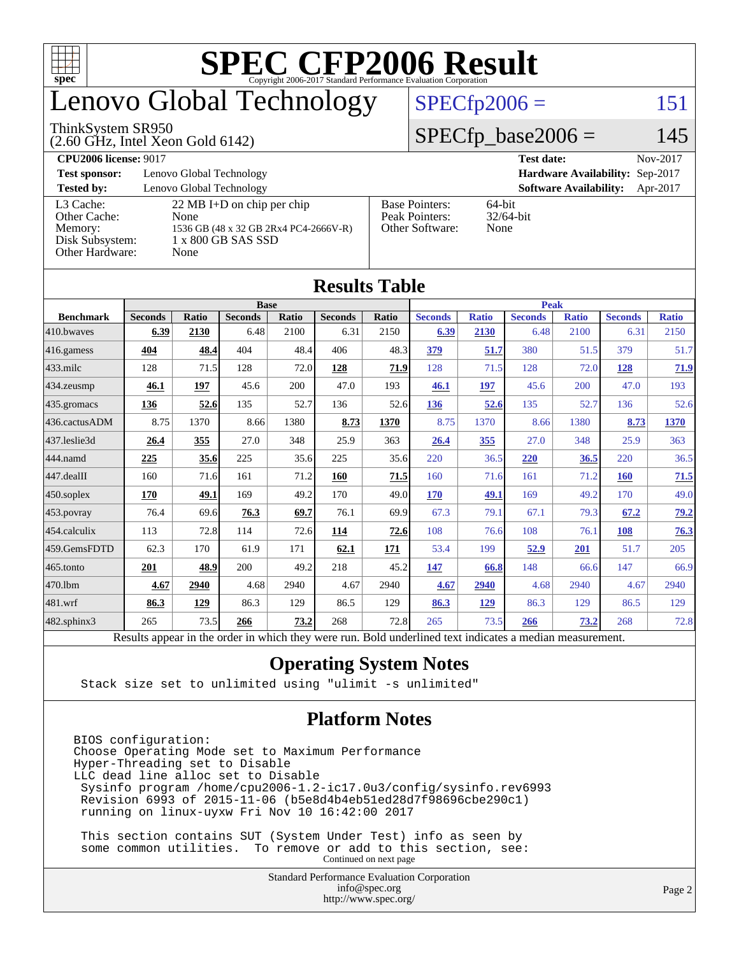

### enovo Global Technology

#### ThinkSystem SR950

(2.60 GHz, Intel Xeon Gold 6142)

#### $SPECfp2006 = 151$  $SPECfp2006 = 151$

#### $SPECfp\_base2006 = 145$

**[CPU2006 license:](http://www.spec.org/auto/cpu2006/Docs/result-fields.html#CPU2006license)** 9017 **[Test date:](http://www.spec.org/auto/cpu2006/Docs/result-fields.html#Testdate)** Nov-2017 **[Test sponsor:](http://www.spec.org/auto/cpu2006/Docs/result-fields.html#Testsponsor)** Lenovo Global Technology **[Hardware Availability:](http://www.spec.org/auto/cpu2006/Docs/result-fields.html#HardwareAvailability)** Sep-2017 **[Tested by:](http://www.spec.org/auto/cpu2006/Docs/result-fields.html#Testedby)** Lenovo Global Technology **[Software Availability:](http://www.spec.org/auto/cpu2006/Docs/result-fields.html#SoftwareAvailability)** Apr-2017 [L3 Cache:](http://www.spec.org/auto/cpu2006/Docs/result-fields.html#L3Cache) 22 MB I+D on chip per chip<br>Other Cache: None [Other Cache:](http://www.spec.org/auto/cpu2006/Docs/result-fields.html#OtherCache) [Memory:](http://www.spec.org/auto/cpu2006/Docs/result-fields.html#Memory) 1536 GB (48 x 32 GB 2Rx4 PC4-2666V-R) [Disk Subsystem:](http://www.spec.org/auto/cpu2006/Docs/result-fields.html#DiskSubsystem) 1 x 800 GB SAS SSD [Other Hardware:](http://www.spec.org/auto/cpu2006/Docs/result-fields.html#OtherHardware) None [Base Pointers:](http://www.spec.org/auto/cpu2006/Docs/result-fields.html#BasePointers) 64-bit<br>Peak Pointers: 32/64-bit [Peak Pointers:](http://www.spec.org/auto/cpu2006/Docs/result-fields.html#PeakPointers) [Other Software:](http://www.spec.org/auto/cpu2006/Docs/result-fields.html#OtherSoftware) None

**[Results Table](http://www.spec.org/auto/cpu2006/Docs/result-fields.html#ResultsTable)**

| Results Table          |                                                                                                          |              |                |       |                |       |                |              |                |              |                |              |
|------------------------|----------------------------------------------------------------------------------------------------------|--------------|----------------|-------|----------------|-------|----------------|--------------|----------------|--------------|----------------|--------------|
|                        | <b>Base</b>                                                                                              |              |                |       |                |       | <b>Peak</b>    |              |                |              |                |              |
| <b>Benchmark</b>       | <b>Seconds</b>                                                                                           | <b>Ratio</b> | <b>Seconds</b> | Ratio | <b>Seconds</b> | Ratio | <b>Seconds</b> | <b>Ratio</b> | <b>Seconds</b> | <b>Ratio</b> | <b>Seconds</b> | <b>Ratio</b> |
| $410$ .bwayes          | 6.39                                                                                                     | 2130         | 6.48           | 2100  | 6.31           | 2150  | 6.39           | 2130         | 6.48           | 2100         | 6.31           | 2150         |
| $416$ .gamess          | 404                                                                                                      | 48.4         | 404            | 48.4  | 406            | 48.3  | 379            | 51.7         | 380            | 51.5         | 379            | 51.7         |
| $ 433$ .milc           | 128                                                                                                      | 71.5         | 128            | 72.0  | 128            | 71.9  | 128            | 71.5         | 128            | 72.0         | 128            | 71.9         |
| 434.zeusmp             | 46.1                                                                                                     | <u>197</u>   | 45.6           | 200   | 47.0           | 193   | 46.1           | 197          | 45.6           | 200          | 47.0           | 193          |
| $435$ .gromacs         | 136                                                                                                      | 52.6         | 135            | 52.7  | 136            | 52.6  | 136            | 52.6         | 135            | 52.7         | 136            | 52.6         |
| 436.cactusADM          | 8.75                                                                                                     | 1370         | 8.66           | 1380  | 8.73           | 1370  | 8.75           | 1370         | 8.66           | 1380         | 8.73           | 1370         |
| 437.leslie3d           | 26.4                                                                                                     | 355          | 27.0           | 348   | 25.9           | 363   | 26.4           | 355          | 27.0           | 348          | 25.9           | 363          |
| 444.namd               | 225                                                                                                      | 35.6         | 225            | 35.6  | 225            | 35.6  | 220            | 36.5         | 220            | 36.5         | 220            | 36.5         |
| $ 447 \text{.}$ dealII | 160                                                                                                      | 71.6         | 161            | 71.2  | 160            | 71.5  | 160            | 71.6         | 161            | 71.2         | <b>160</b>     | 71.5         |
| $ 450$ .soplex         | 170                                                                                                      | 49.1         | 169            | 49.2  | 170            | 49.0  | <b>170</b>     | 49.1         | 169            | 49.2         | 170            | 49.0         |
| 453.povray             | 76.4                                                                                                     | 69.6         | 76.3           | 69.7  | 76.1           | 69.9  | 67.3           | 79.1         | 67.1           | 79.3         | 67.2           | 79.2         |
| 454.calculix           | 113                                                                                                      | 72.8         | 114            | 72.6  | 114            | 72.6  | 108            | 76.6         | 108            | 76.1         | 108            | 76.3         |
| 459.GemsFDTD           | 62.3                                                                                                     | 170          | 61.9           | 171   | 62.1           | 171   | 53.4           | 199          | 52.9           | 201          | 51.7           | 205          |
| 465.tonto              | 201                                                                                                      | 48.9         | 200            | 49.2  | 218            | 45.2  | 147            | 66.8         | 148            | 66.6         | 147            | 66.9         |
| 470.1bm                | 4.67                                                                                                     | 2940         | 4.68           | 2940  | 4.67           | 2940  | 4.67           | 2940         | 4.68           | 2940         | 4.67           | 2940         |
| 481.wrf                | 86.3                                                                                                     | 129          | 86.3           | 129   | 86.5           | 129   | 86.3           | 129          | 86.3           | 129          | 86.5           | 129          |
| $482$ .sphinx $3$      | 265                                                                                                      | 73.5         | 266            | 73.2  | 268            | 72.8  | 265            | 73.5         | 266            | 73.2         | 268            | 72.8         |
|                        | Results appear in the order in which they were run. Bold underlined text indicates a median measurement. |              |                |       |                |       |                |              |                |              |                |              |

#### **[Operating System Notes](http://www.spec.org/auto/cpu2006/Docs/result-fields.html#OperatingSystemNotes)**

Stack size set to unlimited using "ulimit -s unlimited"

#### **[Platform Notes](http://www.spec.org/auto/cpu2006/Docs/result-fields.html#PlatformNotes)**

BIOS configuration: Choose Operating Mode set to Maximum Performance Hyper-Threading set to Disable LLC dead line alloc set to Disable Sysinfo program /home/cpu2006-1.2-ic17.0u3/config/sysinfo.rev6993 Revision 6993 of 2015-11-06 (b5e8d4b4eb51ed28d7f98696cbe290c1) running on linux-uyxw Fri Nov 10 16:42:00 2017

 This section contains SUT (System Under Test) info as seen by some common utilities. To remove or add to this section, see: Continued on next page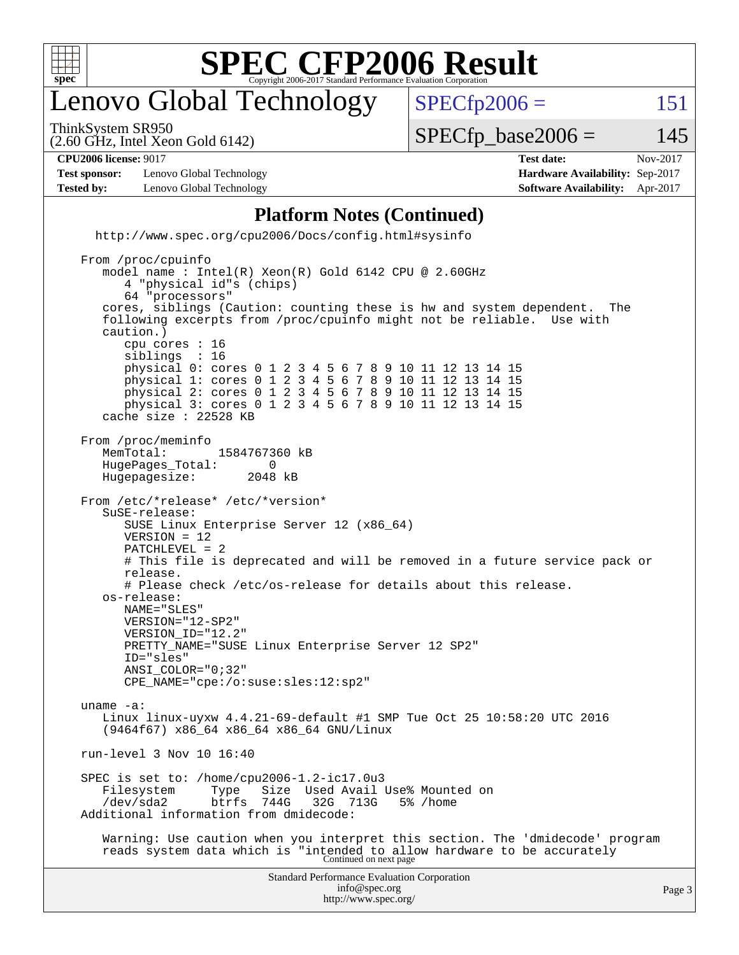

### enovo Global Technology

ThinkSystem SR950

 $SPECTp2006 = 151$ 

(2.60 GHz, Intel Xeon Gold 6142)

 $SPECTp\_base2006 = 145$ 

**[Test sponsor:](http://www.spec.org/auto/cpu2006/Docs/result-fields.html#Testsponsor)** Lenovo Global Technology **[Hardware Availability:](http://www.spec.org/auto/cpu2006/Docs/result-fields.html#HardwareAvailability)** Sep-2017 **[Tested by:](http://www.spec.org/auto/cpu2006/Docs/result-fields.html#Testedby)** Lenovo Global Technology **[Software Availability:](http://www.spec.org/auto/cpu2006/Docs/result-fields.html#SoftwareAvailability)** Apr-2017

**[CPU2006 license:](http://www.spec.org/auto/cpu2006/Docs/result-fields.html#CPU2006license)** 9017 **[Test date:](http://www.spec.org/auto/cpu2006/Docs/result-fields.html#Testdate)** Nov-2017

Standard Performance Evaluation Corporation **[Platform Notes \(Continued\)](http://www.spec.org/auto/cpu2006/Docs/result-fields.html#PlatformNotes)** <http://www.spec.org/cpu2006/Docs/config.html#sysinfo> From /proc/cpuinfo model name : Intel(R) Xeon(R) Gold 6142 CPU @ 2.60GHz 4 "physical id"s (chips) 64 "processors" cores, siblings (Caution: counting these is hw and system dependent. The following excerpts from /proc/cpuinfo might not be reliable. Use with caution.) cpu cores : 16 siblings physical 0: cores 0 1 2 3 4 5 6 7 8 9 10 11 12 13 14 15 physical 1: cores 0 1 2 3 4 5 6 7 8 9 10 11 12 13 14 15 physical 2: cores 0 1 2 3 4 5 6 7 8 9 10 11 12 13 14 15 physical 3: cores 0 1 2 3 4 5 6 7 8 9 10 11 12 13 14 15 cache size : 22528 KB From /proc/meminfo MemTotal: 1584767360 kB<br>HugePages Total: 0 HugePages\_Total: 0<br>Hugepagesize: 2048 kB Hugepagesize: From /etc/\*release\* /etc/\*version\* SuSE-release: SUSE Linux Enterprise Server 12 (x86\_64) VERSION = 12 PATCHLEVEL = 2 # This file is deprecated and will be removed in a future service pack or release. # Please check /etc/os-release for details about this release. os-release: NAME="SLES" VERSION="12-SP2" VERSION\_ID="12.2" PRETTY\_NAME="SUSE Linux Enterprise Server 12 SP2" ID="sles" ANSI\_COLOR="0;32" CPE\_NAME="cpe:/o:suse:sles:12:sp2" uname -a: Linux linux-uyxw 4.4.21-69-default #1 SMP Tue Oct 25 10:58:20 UTC 2016 (9464f67) x86\_64 x86\_64 x86\_64 GNU/Linux run-level 3 Nov 10 16:40 SPEC is set to: /home/cpu2006-1.2-ic17.0u3<br>Filesystem Type Size Used Avail Type Size Used Avail Use% Mounted on<br>btrfs 744G 32G 713G 5% /home /dev/sda2 btrfs 744G 32G 713G 5% /home Additional information from dmidecode: Warning: Use caution when you interpret this section. The 'dmidecode' program reads system data which is "intended to allow hardware to be accurately Continued on next page

> [info@spec.org](mailto:info@spec.org) <http://www.spec.org/>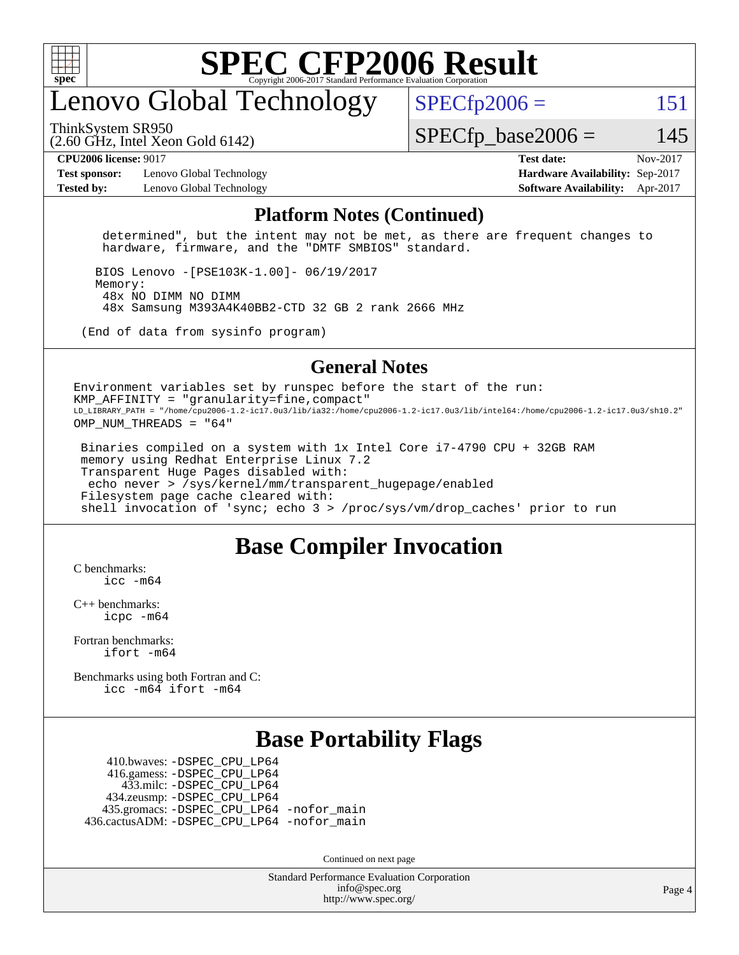

#### enovo Global Technology

ThinkSystem SR950

 $SPECTp2006 = 151$ 

(2.60 GHz, Intel Xeon Gold 6142)

 $SPECTp\_base2006 = 145$ 

**[Test sponsor:](http://www.spec.org/auto/cpu2006/Docs/result-fields.html#Testsponsor)** Lenovo Global Technology **[Hardware Availability:](http://www.spec.org/auto/cpu2006/Docs/result-fields.html#HardwareAvailability)** Sep-2017 **[Tested by:](http://www.spec.org/auto/cpu2006/Docs/result-fields.html#Testedby)** Lenovo Global Technology **[Software Availability:](http://www.spec.org/auto/cpu2006/Docs/result-fields.html#SoftwareAvailability)** Apr-2017

**[CPU2006 license:](http://www.spec.org/auto/cpu2006/Docs/result-fields.html#CPU2006license)** 9017 **[Test date:](http://www.spec.org/auto/cpu2006/Docs/result-fields.html#Testdate)** Nov-2017

#### **[Platform Notes \(Continued\)](http://www.spec.org/auto/cpu2006/Docs/result-fields.html#PlatformNotes)**

 determined", but the intent may not be met, as there are frequent changes to hardware, firmware, and the "DMTF SMBIOS" standard.

 BIOS Lenovo -[PSE103K-1.00]- 06/19/2017 Memory: 48x NO DIMM NO DIMM 48x Samsung M393A4K40BB2-CTD 32 GB 2 rank 2666 MHz

(End of data from sysinfo program)

#### **[General Notes](http://www.spec.org/auto/cpu2006/Docs/result-fields.html#GeneralNotes)**

Environment variables set by runspec before the start of the run: KMP AFFINITY = "granularity=fine, compact" LD\_LIBRARY\_PATH = "/home/cpu2006-1.2-ic17.0u3/lib/ia32:/home/cpu2006-1.2-ic17.0u3/lib/intel64:/home/cpu2006-1.2-ic17.0u3/sh10.2" OMP NUM THREADS = "64"

 Binaries compiled on a system with 1x Intel Core i7-4790 CPU + 32GB RAM memory using Redhat Enterprise Linux 7.2 Transparent Huge Pages disabled with: echo never > /sys/kernel/mm/transparent\_hugepage/enabled Filesystem page cache cleared with: shell invocation of 'sync; echo 3 > /proc/sys/vm/drop\_caches' prior to run

#### **[Base Compiler Invocation](http://www.spec.org/auto/cpu2006/Docs/result-fields.html#BaseCompilerInvocation)**

[C benchmarks](http://www.spec.org/auto/cpu2006/Docs/result-fields.html#Cbenchmarks):  $inc - m64$ 

[C++ benchmarks:](http://www.spec.org/auto/cpu2006/Docs/result-fields.html#CXXbenchmarks) [icpc -m64](http://www.spec.org/cpu2006/results/res2017q4/cpu2006-20171114-50719.flags.html#user_CXXbase_intel_icpc_64bit_fc66a5337ce925472a5c54ad6a0de310)

[Fortran benchmarks](http://www.spec.org/auto/cpu2006/Docs/result-fields.html#Fortranbenchmarks): [ifort -m64](http://www.spec.org/cpu2006/results/res2017q4/cpu2006-20171114-50719.flags.html#user_FCbase_intel_ifort_64bit_ee9d0fb25645d0210d97eb0527dcc06e)

[Benchmarks using both Fortran and C](http://www.spec.org/auto/cpu2006/Docs/result-fields.html#BenchmarksusingbothFortranandC): [icc -m64](http://www.spec.org/cpu2006/results/res2017q4/cpu2006-20171114-50719.flags.html#user_CC_FCbase_intel_icc_64bit_bda6cc9af1fdbb0edc3795bac97ada53) [ifort -m64](http://www.spec.org/cpu2006/results/res2017q4/cpu2006-20171114-50719.flags.html#user_CC_FCbase_intel_ifort_64bit_ee9d0fb25645d0210d97eb0527dcc06e)

#### **[Base Portability Flags](http://www.spec.org/auto/cpu2006/Docs/result-fields.html#BasePortabilityFlags)**

 410.bwaves: [-DSPEC\\_CPU\\_LP64](http://www.spec.org/cpu2006/results/res2017q4/cpu2006-20171114-50719.flags.html#suite_basePORTABILITY410_bwaves_DSPEC_CPU_LP64) 416.gamess: [-DSPEC\\_CPU\\_LP64](http://www.spec.org/cpu2006/results/res2017q4/cpu2006-20171114-50719.flags.html#suite_basePORTABILITY416_gamess_DSPEC_CPU_LP64) 433.milc: [-DSPEC\\_CPU\\_LP64](http://www.spec.org/cpu2006/results/res2017q4/cpu2006-20171114-50719.flags.html#suite_basePORTABILITY433_milc_DSPEC_CPU_LP64) 434.zeusmp: [-DSPEC\\_CPU\\_LP64](http://www.spec.org/cpu2006/results/res2017q4/cpu2006-20171114-50719.flags.html#suite_basePORTABILITY434_zeusmp_DSPEC_CPU_LP64) 435.gromacs: [-DSPEC\\_CPU\\_LP64](http://www.spec.org/cpu2006/results/res2017q4/cpu2006-20171114-50719.flags.html#suite_basePORTABILITY435_gromacs_DSPEC_CPU_LP64) [-nofor\\_main](http://www.spec.org/cpu2006/results/res2017q4/cpu2006-20171114-50719.flags.html#user_baseLDPORTABILITY435_gromacs_f-nofor_main) 436.cactusADM: [-DSPEC\\_CPU\\_LP64](http://www.spec.org/cpu2006/results/res2017q4/cpu2006-20171114-50719.flags.html#suite_basePORTABILITY436_cactusADM_DSPEC_CPU_LP64) [-nofor\\_main](http://www.spec.org/cpu2006/results/res2017q4/cpu2006-20171114-50719.flags.html#user_baseLDPORTABILITY436_cactusADM_f-nofor_main)

Continued on next page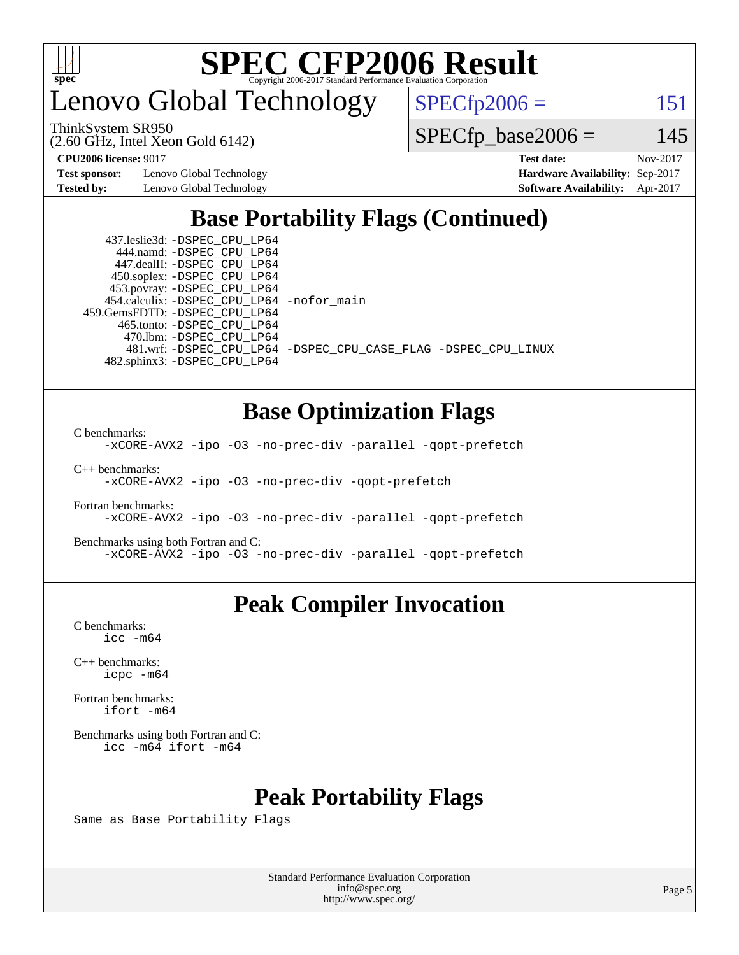

enovo Global Technology

 $SPECfp2006 = 151$  $SPECfp2006 = 151$ 

(2.60 GHz, Intel Xeon Gold 6142) ThinkSystem SR950

 $SPECTp\_base2006 = 145$ 

**[Test sponsor:](http://www.spec.org/auto/cpu2006/Docs/result-fields.html#Testsponsor)** Lenovo Global Technology **[Hardware Availability:](http://www.spec.org/auto/cpu2006/Docs/result-fields.html#HardwareAvailability)** Sep-2017

**[CPU2006 license:](http://www.spec.org/auto/cpu2006/Docs/result-fields.html#CPU2006license)** 9017 **[Test date:](http://www.spec.org/auto/cpu2006/Docs/result-fields.html#Testdate)** Nov-2017 **[Tested by:](http://www.spec.org/auto/cpu2006/Docs/result-fields.html#Testedby)** Lenovo Global Technology **[Software Availability:](http://www.spec.org/auto/cpu2006/Docs/result-fields.html#SoftwareAvailability)** Apr-2017

#### **[Base Portability Flags \(Continued\)](http://www.spec.org/auto/cpu2006/Docs/result-fields.html#BasePortabilityFlags)**

 437.leslie3d: [-DSPEC\\_CPU\\_LP64](http://www.spec.org/cpu2006/results/res2017q4/cpu2006-20171114-50719.flags.html#suite_basePORTABILITY437_leslie3d_DSPEC_CPU_LP64) 444.namd: [-DSPEC\\_CPU\\_LP64](http://www.spec.org/cpu2006/results/res2017q4/cpu2006-20171114-50719.flags.html#suite_basePORTABILITY444_namd_DSPEC_CPU_LP64) 447.dealII: [-DSPEC\\_CPU\\_LP64](http://www.spec.org/cpu2006/results/res2017q4/cpu2006-20171114-50719.flags.html#suite_basePORTABILITY447_dealII_DSPEC_CPU_LP64) 450.soplex: [-DSPEC\\_CPU\\_LP64](http://www.spec.org/cpu2006/results/res2017q4/cpu2006-20171114-50719.flags.html#suite_basePORTABILITY450_soplex_DSPEC_CPU_LP64) 453.povray: [-DSPEC\\_CPU\\_LP64](http://www.spec.org/cpu2006/results/res2017q4/cpu2006-20171114-50719.flags.html#suite_basePORTABILITY453_povray_DSPEC_CPU_LP64) 454.calculix: [-DSPEC\\_CPU\\_LP64](http://www.spec.org/cpu2006/results/res2017q4/cpu2006-20171114-50719.flags.html#suite_basePORTABILITY454_calculix_DSPEC_CPU_LP64) [-nofor\\_main](http://www.spec.org/cpu2006/results/res2017q4/cpu2006-20171114-50719.flags.html#user_baseLDPORTABILITY454_calculix_f-nofor_main) 459.GemsFDTD: [-DSPEC\\_CPU\\_LP64](http://www.spec.org/cpu2006/results/res2017q4/cpu2006-20171114-50719.flags.html#suite_basePORTABILITY459_GemsFDTD_DSPEC_CPU_LP64) 465.tonto: [-DSPEC\\_CPU\\_LP64](http://www.spec.org/cpu2006/results/res2017q4/cpu2006-20171114-50719.flags.html#suite_basePORTABILITY465_tonto_DSPEC_CPU_LP64) 470.lbm: [-DSPEC\\_CPU\\_LP64](http://www.spec.org/cpu2006/results/res2017q4/cpu2006-20171114-50719.flags.html#suite_basePORTABILITY470_lbm_DSPEC_CPU_LP64) 482.sphinx3: [-DSPEC\\_CPU\\_LP64](http://www.spec.org/cpu2006/results/res2017q4/cpu2006-20171114-50719.flags.html#suite_basePORTABILITY482_sphinx3_DSPEC_CPU_LP64)

481.wrf: [-DSPEC\\_CPU\\_LP64](http://www.spec.org/cpu2006/results/res2017q4/cpu2006-20171114-50719.flags.html#suite_basePORTABILITY481_wrf_DSPEC_CPU_LP64) [-DSPEC\\_CPU\\_CASE\\_FLAG](http://www.spec.org/cpu2006/results/res2017q4/cpu2006-20171114-50719.flags.html#b481.wrf_baseCPORTABILITY_DSPEC_CPU_CASE_FLAG) [-DSPEC\\_CPU\\_LINUX](http://www.spec.org/cpu2006/results/res2017q4/cpu2006-20171114-50719.flags.html#b481.wrf_baseCPORTABILITY_DSPEC_CPU_LINUX)

#### **[Base Optimization Flags](http://www.spec.org/auto/cpu2006/Docs/result-fields.html#BaseOptimizationFlags)**

[C benchmarks](http://www.spec.org/auto/cpu2006/Docs/result-fields.html#Cbenchmarks):

[-xCORE-AVX2](http://www.spec.org/cpu2006/results/res2017q4/cpu2006-20171114-50719.flags.html#user_CCbase_f-xCORE-AVX2) [-ipo](http://www.spec.org/cpu2006/results/res2017q4/cpu2006-20171114-50719.flags.html#user_CCbase_f-ipo) [-O3](http://www.spec.org/cpu2006/results/res2017q4/cpu2006-20171114-50719.flags.html#user_CCbase_f-O3) [-no-prec-div](http://www.spec.org/cpu2006/results/res2017q4/cpu2006-20171114-50719.flags.html#user_CCbase_f-no-prec-div) [-parallel](http://www.spec.org/cpu2006/results/res2017q4/cpu2006-20171114-50719.flags.html#user_CCbase_f-parallel) [-qopt-prefetch](http://www.spec.org/cpu2006/results/res2017q4/cpu2006-20171114-50719.flags.html#user_CCbase_f-qopt-prefetch)

[C++ benchmarks:](http://www.spec.org/auto/cpu2006/Docs/result-fields.html#CXXbenchmarks)

[-xCORE-AVX2](http://www.spec.org/cpu2006/results/res2017q4/cpu2006-20171114-50719.flags.html#user_CXXbase_f-xCORE-AVX2) [-ipo](http://www.spec.org/cpu2006/results/res2017q4/cpu2006-20171114-50719.flags.html#user_CXXbase_f-ipo) [-O3](http://www.spec.org/cpu2006/results/res2017q4/cpu2006-20171114-50719.flags.html#user_CXXbase_f-O3) [-no-prec-div](http://www.spec.org/cpu2006/results/res2017q4/cpu2006-20171114-50719.flags.html#user_CXXbase_f-no-prec-div) [-qopt-prefetch](http://www.spec.org/cpu2006/results/res2017q4/cpu2006-20171114-50719.flags.html#user_CXXbase_f-qopt-prefetch)

[Fortran benchmarks](http://www.spec.org/auto/cpu2006/Docs/result-fields.html#Fortranbenchmarks): [-xCORE-AVX2](http://www.spec.org/cpu2006/results/res2017q4/cpu2006-20171114-50719.flags.html#user_FCbase_f-xCORE-AVX2) [-ipo](http://www.spec.org/cpu2006/results/res2017q4/cpu2006-20171114-50719.flags.html#user_FCbase_f-ipo) [-O3](http://www.spec.org/cpu2006/results/res2017q4/cpu2006-20171114-50719.flags.html#user_FCbase_f-O3) [-no-prec-div](http://www.spec.org/cpu2006/results/res2017q4/cpu2006-20171114-50719.flags.html#user_FCbase_f-no-prec-div) [-parallel](http://www.spec.org/cpu2006/results/res2017q4/cpu2006-20171114-50719.flags.html#user_FCbase_f-parallel) [-qopt-prefetch](http://www.spec.org/cpu2006/results/res2017q4/cpu2006-20171114-50719.flags.html#user_FCbase_f-qopt-prefetch)

[Benchmarks using both Fortran and C](http://www.spec.org/auto/cpu2006/Docs/result-fields.html#BenchmarksusingbothFortranandC): [-xCORE-AVX2](http://www.spec.org/cpu2006/results/res2017q4/cpu2006-20171114-50719.flags.html#user_CC_FCbase_f-xCORE-AVX2) [-ipo](http://www.spec.org/cpu2006/results/res2017q4/cpu2006-20171114-50719.flags.html#user_CC_FCbase_f-ipo) [-O3](http://www.spec.org/cpu2006/results/res2017q4/cpu2006-20171114-50719.flags.html#user_CC_FCbase_f-O3) [-no-prec-div](http://www.spec.org/cpu2006/results/res2017q4/cpu2006-20171114-50719.flags.html#user_CC_FCbase_f-no-prec-div) [-parallel](http://www.spec.org/cpu2006/results/res2017q4/cpu2006-20171114-50719.flags.html#user_CC_FCbase_f-parallel) [-qopt-prefetch](http://www.spec.org/cpu2006/results/res2017q4/cpu2006-20171114-50719.flags.html#user_CC_FCbase_f-qopt-prefetch)

#### **[Peak Compiler Invocation](http://www.spec.org/auto/cpu2006/Docs/result-fields.html#PeakCompilerInvocation)**

[C benchmarks](http://www.spec.org/auto/cpu2006/Docs/result-fields.html#Cbenchmarks): [icc -m64](http://www.spec.org/cpu2006/results/res2017q4/cpu2006-20171114-50719.flags.html#user_CCpeak_intel_icc_64bit_bda6cc9af1fdbb0edc3795bac97ada53)

[C++ benchmarks:](http://www.spec.org/auto/cpu2006/Docs/result-fields.html#CXXbenchmarks) [icpc -m64](http://www.spec.org/cpu2006/results/res2017q4/cpu2006-20171114-50719.flags.html#user_CXXpeak_intel_icpc_64bit_fc66a5337ce925472a5c54ad6a0de310)

[Fortran benchmarks](http://www.spec.org/auto/cpu2006/Docs/result-fields.html#Fortranbenchmarks): [ifort -m64](http://www.spec.org/cpu2006/results/res2017q4/cpu2006-20171114-50719.flags.html#user_FCpeak_intel_ifort_64bit_ee9d0fb25645d0210d97eb0527dcc06e)

[Benchmarks using both Fortran and C](http://www.spec.org/auto/cpu2006/Docs/result-fields.html#BenchmarksusingbothFortranandC): [icc -m64](http://www.spec.org/cpu2006/results/res2017q4/cpu2006-20171114-50719.flags.html#user_CC_FCpeak_intel_icc_64bit_bda6cc9af1fdbb0edc3795bac97ada53) [ifort -m64](http://www.spec.org/cpu2006/results/res2017q4/cpu2006-20171114-50719.flags.html#user_CC_FCpeak_intel_ifort_64bit_ee9d0fb25645d0210d97eb0527dcc06e)

#### **[Peak Portability Flags](http://www.spec.org/auto/cpu2006/Docs/result-fields.html#PeakPortabilityFlags)**

Same as Base Portability Flags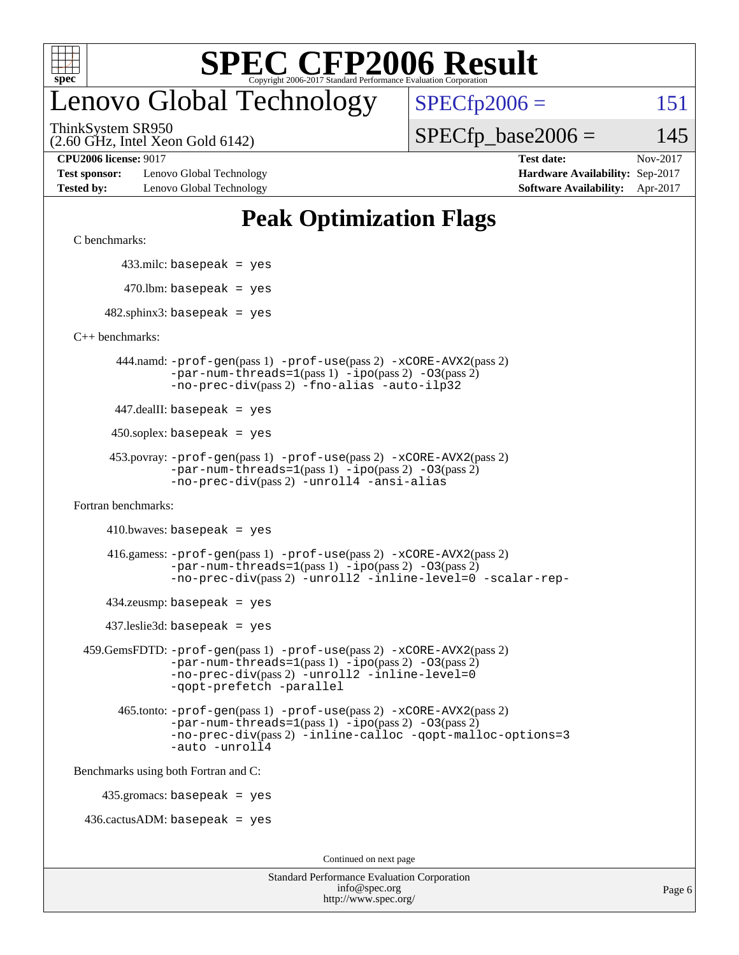

### enovo Global Technology

ThinkSystem SR950

(2.60 GHz, Intel Xeon Gold 6142)

**[Test sponsor:](http://www.spec.org/auto/cpu2006/Docs/result-fields.html#Testsponsor)** Lenovo Global Technology **[Hardware Availability:](http://www.spec.org/auto/cpu2006/Docs/result-fields.html#HardwareAvailability)** Sep-2017 **[Tested by:](http://www.spec.org/auto/cpu2006/Docs/result-fields.html#Testedby)** Lenovo Global Technology **[Software Availability:](http://www.spec.org/auto/cpu2006/Docs/result-fields.html#SoftwareAvailability)** Apr-2017

 $SPECTp2006 = 151$ 

 $SPECTp\_base2006 = 145$ 

**[CPU2006 license:](http://www.spec.org/auto/cpu2006/Docs/result-fields.html#CPU2006license)** 9017 **[Test date:](http://www.spec.org/auto/cpu2006/Docs/result-fields.html#Testdate)** Nov-2017

#### **[Peak Optimization Flags](http://www.spec.org/auto/cpu2006/Docs/result-fields.html#PeakOptimizationFlags)**

[C benchmarks](http://www.spec.org/auto/cpu2006/Docs/result-fields.html#Cbenchmarks):

433.milc: basepeak = yes

```
470.lbm: basepeak = yes
```
 $482$ .sphinx3: basepeak = yes

[C++ benchmarks:](http://www.spec.org/auto/cpu2006/Docs/result-fields.html#CXXbenchmarks)

 444.namd: [-prof-gen](http://www.spec.org/cpu2006/results/res2017q4/cpu2006-20171114-50719.flags.html#user_peakPASS1_CXXFLAGSPASS1_LDFLAGS444_namd_prof_gen_e43856698f6ca7b7e442dfd80e94a8fc)(pass 1) [-prof-use](http://www.spec.org/cpu2006/results/res2017q4/cpu2006-20171114-50719.flags.html#user_peakPASS2_CXXFLAGSPASS2_LDFLAGS444_namd_prof_use_bccf7792157ff70d64e32fe3e1250b55)(pass 2) [-xCORE-AVX2](http://www.spec.org/cpu2006/results/res2017q4/cpu2006-20171114-50719.flags.html#user_peakPASS2_CXXFLAGSPASS2_LDFLAGS444_namd_f-xCORE-AVX2)(pass 2)  $-par-num-threads=1(pass 1) -ipo(pass 2) -O3(pass 2)$  $-par-num-threads=1(pass 1) -ipo(pass 2) -O3(pass 2)$  $-par-num-threads=1(pass 1) -ipo(pass 2) -O3(pass 2)$  $-par-num-threads=1(pass 1) -ipo(pass 2) -O3(pass 2)$  $-par-num-threads=1(pass 1) -ipo(pass 2) -O3(pass 2)$  $-par-num-threads=1(pass 1) -ipo(pass 2) -O3(pass 2)$ [-no-prec-div](http://www.spec.org/cpu2006/results/res2017q4/cpu2006-20171114-50719.flags.html#user_peakPASS2_CXXFLAGSPASS2_LDFLAGS444_namd_f-no-prec-div)(pass 2) [-fno-alias](http://www.spec.org/cpu2006/results/res2017q4/cpu2006-20171114-50719.flags.html#user_peakCXXOPTIMIZEOPTIMIZE444_namd_f-no-alias_694e77f6c5a51e658e82ccff53a9e63a) [-auto-ilp32](http://www.spec.org/cpu2006/results/res2017q4/cpu2006-20171114-50719.flags.html#user_peakCXXOPTIMIZE444_namd_f-auto-ilp32)

447.dealII: basepeak = yes

 $450$ .soplex: basepeak = yes

```
 453.povray: -prof-gen(pass 1) -prof-use(pass 2) -xCORE-AVX2(pass 2)
  -par-num-threads=1-ipo-O3(pass 2)-no-prec-div(pass 2) -unroll4 -ansi-alias
```
[Fortran benchmarks](http://www.spec.org/auto/cpu2006/Docs/result-fields.html#Fortranbenchmarks):

```
410.bwaves: basepeak = yes
```

```
 416.gamess: -prof-gen(pass 1) -prof-use(pass 2) -xCORE-AVX2(pass 2)
  -par-num-threads=1-ipo-O3(pass 2)-no-prec-div(pass 2) -unroll2 -inline-level=0 -scalar-rep-
```
 $434$ .zeusmp: basepeak = yes

437.leslie3d: basepeak = yes

```
 459.GemsFDTD: -prof-gen(pass 1) -prof-use(pass 2) -xCORE-AVX2(pass 2)
     -par-num-threads=1-ipo-O3(pass 2)-no-prec-div(pass 2) -unroll2 -inline-level=0
     -qopt-prefetch -parallel
```

```
 465.tonto: -prof-gen(pass 1) -prof-use(pass 2) -xCORE-AVX2(pass 2)
-par-num-threads=1-ipo-O3(pass 2)-no-prec-div-inline-calloc-qopt-malloc-options=3
-auto -unroll4
```
[Benchmarks using both Fortran and C](http://www.spec.org/auto/cpu2006/Docs/result-fields.html#BenchmarksusingbothFortranandC):

435.gromacs: basepeak = yes

 $436.cactusADM: basepeak = yes$ 

Continued on next page

| <b>Standard Performance Evaluation Corporation</b> |
|----------------------------------------------------|
| info@spec.org                                      |
| http://www.spec.org/                               |